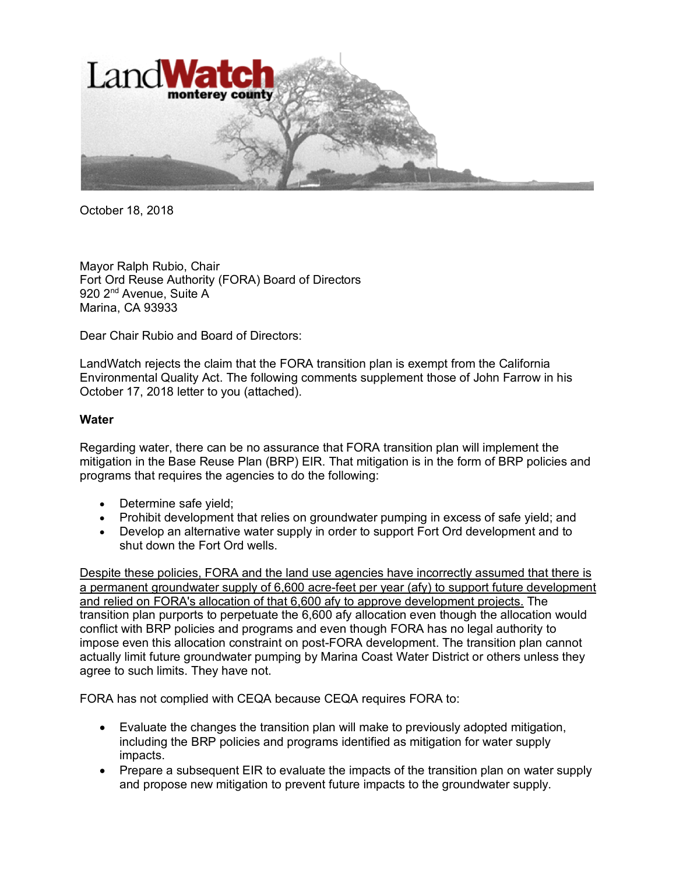

October 18, 2018

Mayor Ralph Rubio, Chair Fort Ord Reuse Authority (FORA) Board of Directors 920 2<sup>nd</sup> Avenue, Suite A Marina, CA 93933

Dear Chair Rubio and Board of Directors:

LandWatch rejects the claim that the FORA transition plan is exempt from the California Environmental Quality Act. The following comments supplement those of John Farrow in his October 17, 2018 letter to you (attached).

## **Water**

Regarding water, there can be no assurance that FORA transition plan will implement the mitigation in the Base Reuse Plan (BRP) EIR. That mitigation is in the form of BRP policies and programs that requires the agencies to do the following:

- Determine safe yield;
- Prohibit development that relies on groundwater pumping in excess of safe yield; and
- Develop an alternative water supply in order to support Fort Ord development and to shut down the Fort Ord wells.

Despite these policies, FORA and the land use agencies have incorrectly assumed that there is a permanent groundwater supply of 6,600 acre-feet per year (afy) to support future development and relied on FORA's allocation of that 6,600 afy to approve development projects. The transition plan purports to perpetuate the 6,600 afy allocation even though the allocation would conflict with BRP policies and programs and even though FORA has no legal authority to impose even this allocation constraint on post-FORA development. The transition plan cannot actually limit future groundwater pumping by Marina Coast Water District or others unless they agree to such limits. They have not.

FORA has not complied with CEQA because CEQA requires FORA to:

- Evaluate the changes the transition plan will make to previously adopted mitigation, including the BRP policies and programs identified as mitigation for water supply impacts.
- Prepare a subsequent EIR to evaluate the impacts of the transition plan on water supply and propose new mitigation to prevent future impacts to the groundwater supply.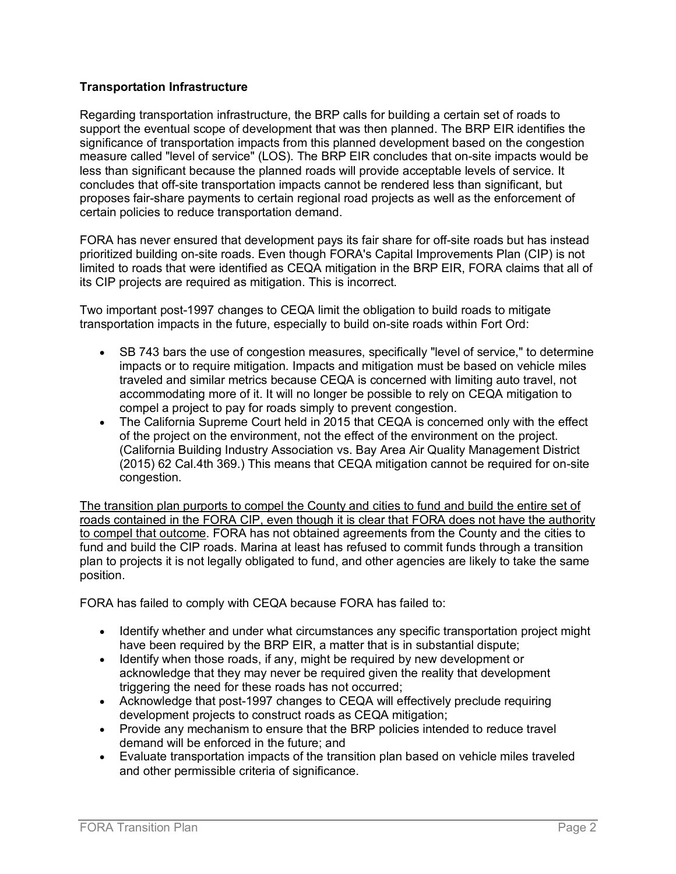## **Transportation Infrastructure**

Regarding transportation infrastructure, the BRP calls for building a certain set of roads to support the eventual scope of development that was then planned. The BRP EIR identifies the significance of transportation impacts from this planned development based on the congestion measure called "level of service" (LOS). The BRP EIR concludes that on-site impacts would be less than significant because the planned roads will provide acceptable levels of service. It concludes that off-site transportation impacts cannot be rendered less than significant, but proposes fair-share payments to certain regional road projects as well as the enforcement of certain policies to reduce transportation demand.

FORA has never ensured that development pays its fair share for off-site roads but has instead prioritized building on-site roads. Even though FORA's Capital Improvements Plan (CIP) is not limited to roads that were identified as CEQA mitigation in the BRP EIR, FORA claims that all of its CIP projects are required as mitigation. This is incorrect.

Two important post-1997 changes to CEQA limit the obligation to build roads to mitigate transportation impacts in the future, especially to build on-site roads within Fort Ord:

- SB 743 bars the use of congestion measures, specifically "level of service," to determine impacts or to require mitigation. Impacts and mitigation must be based on vehicle miles traveled and similar metrics because CEQA is concerned with limiting auto travel, not accommodating more of it. It will no longer be possible to rely on CEQA mitigation to compel a project to pay for roads simply to prevent congestion.
- The California Supreme Court held in 2015 that CEQA is concerned only with the effect of the project on the environment, not the effect of the environment on the project. (California Building Industry Association vs. Bay Area Air Quality Management District (2015) 62 Cal.4th 369.) This means that CEQA mitigation cannot be required for on-site congestion.

The transition plan purports to compel the County and cities to fund and build the entire set of roads contained in the FORA CIP, even though it is clear that FORA does not have the authority to compel that outcome. FORA has not obtained agreements from the County and the cities to fund and build the CIP roads. Marina at least has refused to commit funds through a transition plan to projects it is not legally obligated to fund, and other agencies are likely to take the same position.

FORA has failed to comply with CEQA because FORA has failed to:

- Identify whether and under what circumstances any specific transportation project might have been required by the BRP EIR, a matter that is in substantial dispute;
- Identify when those roads, if any, might be required by new development or acknowledge that they may never be required given the reality that development triggering the need for these roads has not occurred;
- Acknowledge that post-1997 changes to CEQA will effectively preclude requiring development projects to construct roads as CEQA mitigation;
- Provide any mechanism to ensure that the BRP policies intended to reduce travel demand will be enforced in the future; and
- Evaluate transportation impacts of the transition plan based on vehicle miles traveled and other permissible criteria of significance.